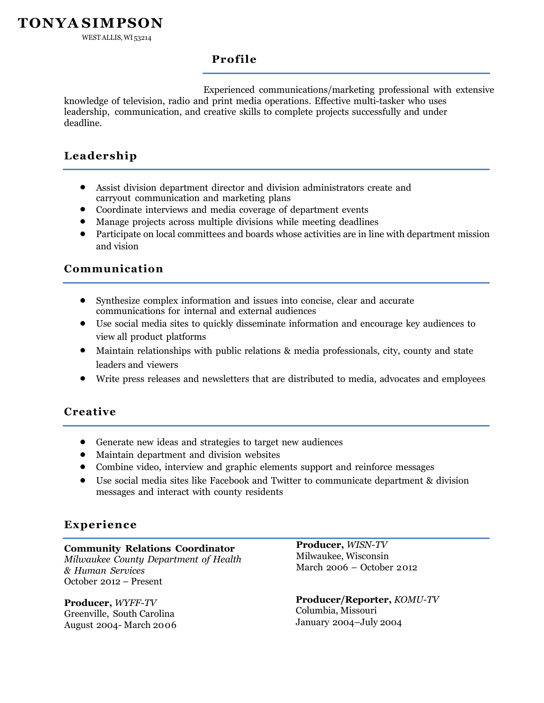WESTALLIS, WI 53214

### **Profile**

Experienced communications/marketing professional with extensive knowledge of television, radio and print media operations. Effective multi-tasker who uses leadership, communication, and creative skills to complete projects successfully and under deadline.

# **Leadership**

- Assist division department director and division administrators create and carryout communication and marketing plans
- Coordinate interviews and media coverage of department events
- Manage projects across multiple divisions while meeting deadlines
- Participate on local committees and boards whose activities are in line with department mission and vision

### **Communication**

- Synthesize complex information and issues into concise, clear and accurate communications for internal and external audiences
- Use social media sites to quickly disseminate information and encourage key audiences to view all product platforms
- Maintain relationships with public relations & media professionals, city, county and state leaders and viewers
- Write press releases and newsletters that are distributed to media, advocates and employees

#### **Creative**

- Generate new ideas and strategies to target new audiences
- Maintain department and division websites
- Combine video, interview and graphic elements support and reinforce messages
- Use social media sites like Facebook and Twitter to communicate department & division messages and interact with county residents

## **Experience**

**Community Relations Coordinator** *Milwaukee County Department of Health & Human Services* October 2012 – Present

**Producer,** *WYFF-TV* Greenville, South Carolina August 2004- March 2006 **Producer,** *WISN-TV* Milwaukee, Wisconsin March 2006 – October 2012

**Producer/Reporter,** *KOMU-TV* Columbia, Missouri January 2004–July 2004